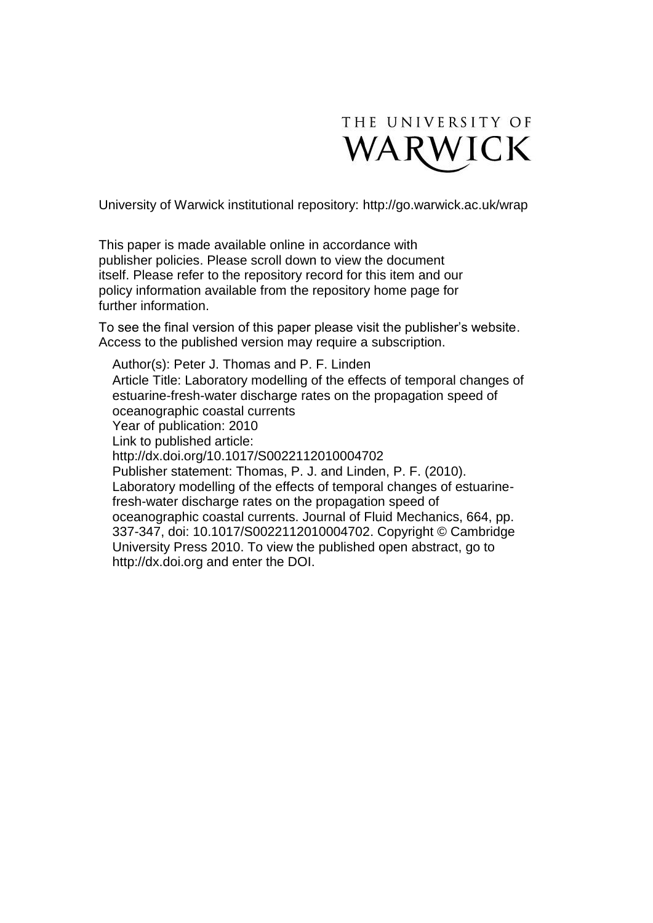

University of Warwick institutional repository:<http://go.warwick.ac.uk/wrap>

This paper is made available online in accordance with publisher policies. Please scroll down to view the document itself. Please refer to the repository record for this item and our policy information available from the repository home page for further information.

To see the final version of this paper please visit the publisher's website. Access to the published version may require a subscription.

Author(s): Peter J. Thomas and P. F. Linden Article Title: Laboratory modelling of the effects of temporal changes of estuarine-fresh-water discharge rates on the propagation speed of oceanographic coastal currents Year of publication: 2010 Link to published article: http://dx.doi.org/10.1017/S0022112010004702 Publisher statement: Thomas, P. J. and Linden, P. F. (2010). Laboratory modelling of the effects of temporal changes of estuarinefresh-water discharge rates on the propagation speed of oceanographic coastal currents. Journal of Fluid Mechanics, 664, pp. 337-347, doi: 10.1017/S0022112010004702. Copyright © Cambridge University Press 2010. To view the published open abstract, go to http://dx.doi.org and enter the DOI.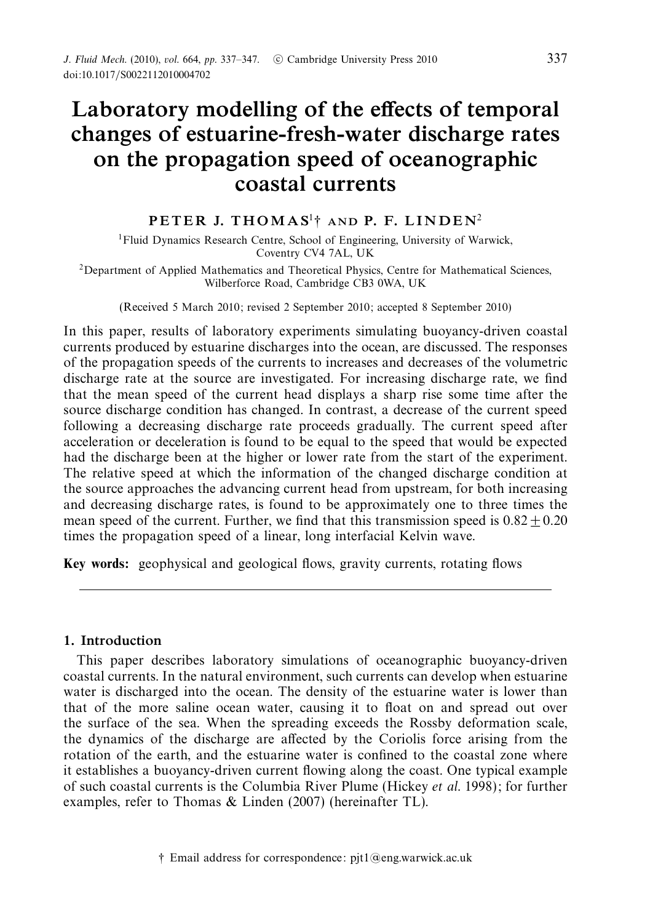# *Laboratory modelling of the effects of temporal changes of estuarine-fresh-water discharge rates on the propagation speed of oceanographic coastal currents*

## *P E T E R J. T H OM A S*<sup>1</sup>† *AND P. F. L I N D E N*<sup>2</sup>

<sup>1</sup>Fluid Dynamics Research Centre, School of Engineering, University of Warwick, Coventry CV4 7AL, UK

2Department of Applied Mathematics and Theoretical Physics, Centre for Mathematical Sciences, Wilberforce Road, Cambridge CB3 0WA, UK

(Received 5 March 2010; revised 2 September 2010; accepted 8 September 2010)

In this paper, results of laboratory experiments simulating buoyancy-driven coastal currents produced by estuarine discharges into the ocean, are discussed. The responses of the propagation speeds of the currents to increases and decreases of the volumetric discharge rate at the source are investigated. For increasing discharge rate, we find that the mean speed of the current head displays a sharp rise some time after the source discharge condition has changed. In contrast, a decrease of the current speed following a decreasing discharge rate proceeds gradually. The current speed after acceleration or deceleration is found to be equal to the speed that would be expected had the discharge been at the higher or lower rate from the start of the experiment. The relative speed at which the information of the changed discharge condition at the source approaches the advancing current head from upstream, for both increasing and decreasing discharge rates, is found to be approximately one to three times the mean speed of the current. Further, we find that this transmission speed is  $0.82 + 0.20$ times the propagation speed of a linear, long interfacial Kelvin wave.

**Key words:** geophysical and geological flows, gravity currents, rotating flows

## *1. Introduction*

This paper describes laboratory simulations of oceanographic buoyancy-driven coastal currents. In the natural environment, such currents can develop when estuarine water is discharged into the ocean. The density of the estuarine water is lower than that of the more saline ocean water, causing it to float on and spread out over the surface of the sea. When the spreading exceeds the Rossby deformation scale, the dynamics of the discharge are affected by the Coriolis force arising from the rotation of the earth, and the estuarine water is confined to the coastal zone where it establishes a buoyancy-driven current flowing along the coast. One typical example of such coastal currents is the Columbia River Plume (Hickey et al. 1998); for further examples, refer to Thomas & Linden (2007) (hereinafter TL).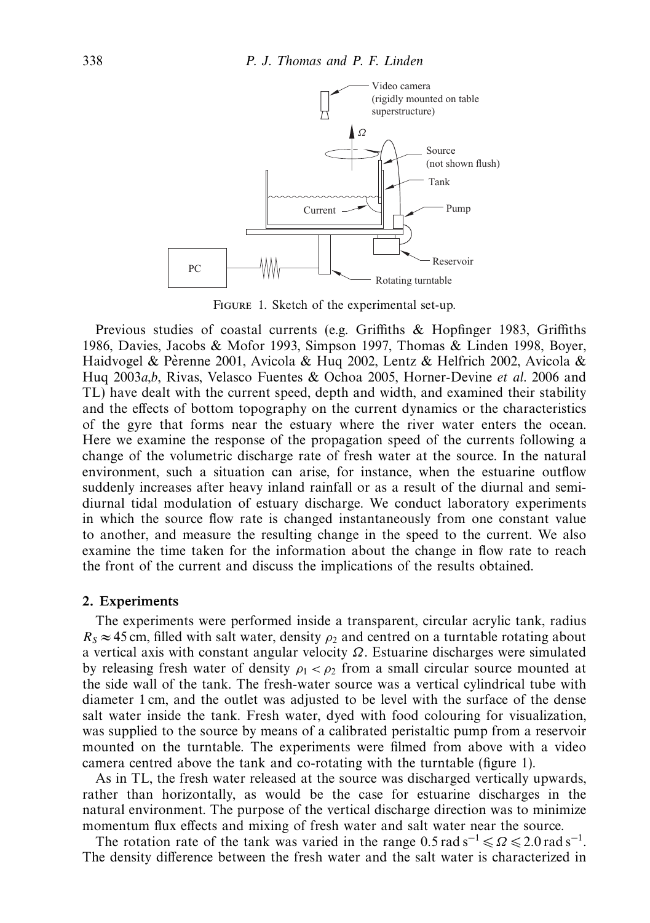

FIGURE 1. Sketch of the experimental set-up.

Previous studies of coastal currents (e.g. Griffiths & Hopfinger 1983, Griffiths 1986, Davies, Jacobs & Mofor 1993, Simpson 1997, Thomas & Linden 1998, Boyer, Haidvogel & Pèrenne 2001, Avicola & Huq 2002, Lentz & Helfrich 2002, Avicola & Huq 2003a,b, Rivas, Velasco Fuentes & Ochoa 2005, Horner-Devine et al. 2006 and TL) have dealt with the current speed, depth and width, and examined their stability and the effects of bottom topography on the current dynamics or the characteristics of the gyre that forms near the estuary where the river water enters the ocean. Here we examine the response of the propagation speed of the currents following a change of the volumetric discharge rate of fresh water at the source. In the natural environment, such a situation can arise, for instance, when the estuarine outflow suddenly increases after heavy inland rainfall or as a result of the diurnal and semidiurnal tidal modulation of estuary discharge. We conduct laboratory experiments in which the source flow rate is changed instantaneously from one constant value to another, and measure the resulting change in the speed to the current. We also examine the time taken for the information about the change in flow rate to reach the front of the current and discuss the implications of the results obtained.

#### *2. Experiments*

The experiments were performed inside a transparent, circular acrylic tank, radius  $R_S \approx 45$  cm, filled with salt water, density  $\rho_2$  and centred on a turntable rotating about a vertical axis with constant angular velocity *Ω*. Estuarine discharges were simulated by releasing fresh water of density  $\rho_1 < \rho_2$  from a small circular source mounted at the side wall of the tank. The fresh-water source was a vertical cylindrical tube with diameter 1 cm, and the outlet was adjusted to be level with the surface of the dense salt water inside the tank. Fresh water, dyed with food colouring for visualization, was supplied to the source by means of a calibrated peristaltic pump from a reservoir mounted on the turntable. The experiments were filmed from above with a video camera centred above the tank and co-rotating with the turntable (figure 1).

As in TL, the fresh water released at the source was discharged vertically upwards, rather than horizontally, as would be the case for estuarine discharges in the natural environment. The purpose of the vertical discharge direction was to minimize momentum flux effects and mixing of fresh water and salt water near the source.

The rotation rate of the tank was varied in the range  $0.5$  rad s<sup>-1</sup>  $\leq \Omega \leq 2.0$  rad s<sup>-1</sup>. The density difference between the fresh water and the salt water is characterized in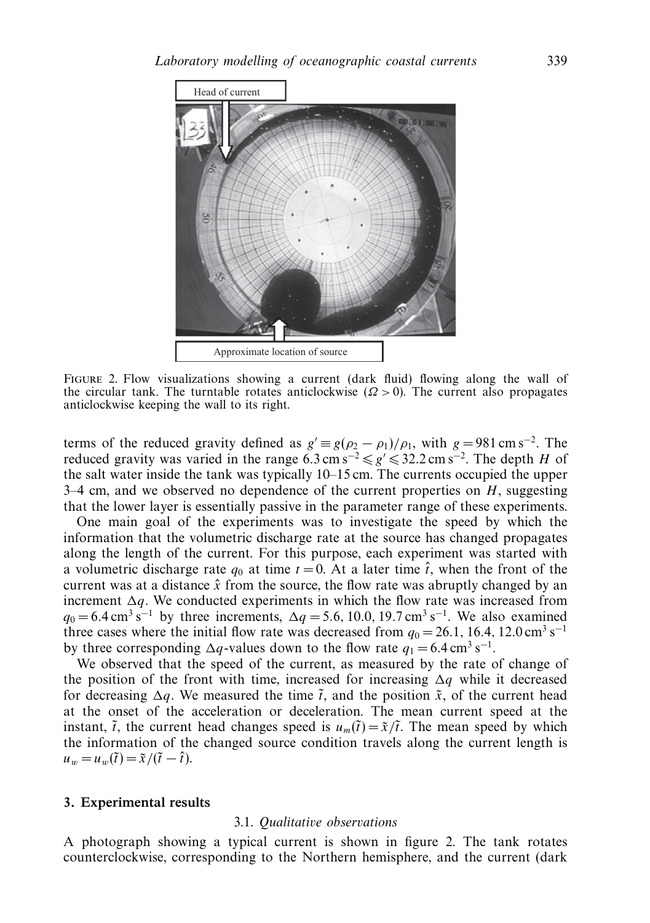

Figure 2. Flow visualizations showing a current (dark fluid) flowing along the wall of the circular tank. The turntable rotates anticlockwise  $(Ω > 0)$ . The current also propagates anticlockwise keeping the wall to its right.

terms of the reduced gravity defined as  $g' \equiv g(\rho_2 - \rho_1)/\rho_1$ , with  $g = 981 \text{ cm s}^{-2}$ . The reduced gravity was varied in the range  $6.3 \text{ cm s}^{-2} \leq g' \leq 32.2 \text{ cm s}^{-2}$ . The depth *H* of the salt water inside the tank was typically 10–15 cm. The currents occupied the upper 3–4 cm, and we observed no dependence of the current properties on *H*, suggesting that the lower layer is essentially passive in the parameter range of these experiments.

One main goal of the experiments was to investigate the speed by which the information that the volumetric discharge rate at the source has changed propagates along the length of the current. For this purpose, each experiment was started with a volumetric discharge rate  $q_0$  at time  $t = 0$ . At a later time  $\hat{t}$ , when the front of the current was at a distance  $\hat{x}$  from the source, the flow rate was abruptly changed by an increment  $\Delta q$ . We conducted experiments in which the flow rate was increased from  $q_0 = 6.4 \text{ cm}^3 \text{ s}^{-1}$  by three increments,  $\Delta q = 5.6, 10.0, 19.7 \text{ cm}^3 \text{ s}^{-1}$ . We also examined three cases where the initial flow rate was decreased from  $q_0 = 26.1$ , 16.4, 12.0 cm<sup>3</sup> s<sup>-1</sup> by three corresponding  $\Delta q$ -values down to the flow rate  $q_1 = 6.4 \text{ cm}^3 \text{ s}^{-1}$ .

We observed that the speed of the current, as measured by the rate of change of the position of the front with time, increased for increasing  $\Delta q$  while it decreased for decreasing  $\Delta q$ . We measured the time  $\tilde{t}$ , and the position  $\tilde{x}$ , of the current head at the onset of the acceleration or deceleration. The mean current speed at the instant,  $\tilde{t}$ , the current head changes speed is  $u_m(\tilde{t}) = \tilde{x}/\tilde{t}$ . The mean speed by which the information of the changed source condition travels along the current length is  $u_w = u_w(\tilde{t}) = \tilde{x}/(\tilde{t} - \hat{t}).$ 

## *3. Experimental results*

## 3.1. Qualitative observations

A photograph showing a typical current is shown in figure 2. The tank rotates counterclockwise, corresponding to the Northern hemisphere, and the current (dark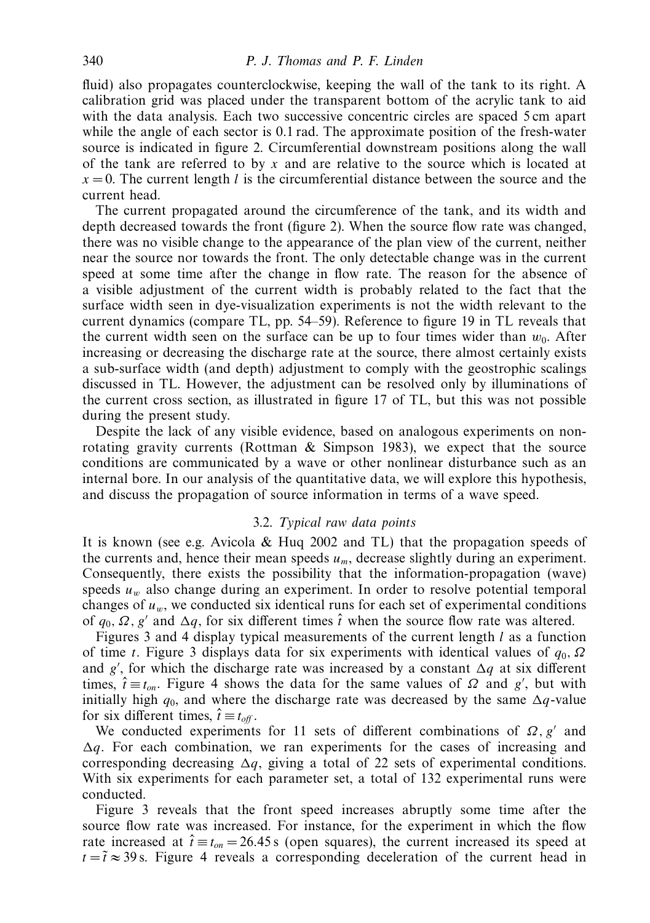fluid) also propagates counterclockwise, keeping the wall of the tank to its right. A calibration grid was placed under the transparent bottom of the acrylic tank to aid with the data analysis. Each two successive concentric circles are spaced 5 cm apart while the angle of each sector is 0*.*1 rad. The approximate position of the fresh-water source is indicated in figure 2. Circumferential downstream positions along the wall of the tank are referred to by *x* and are relative to the source which is located at  $x = 0$ . The current length *l* is the circumferential distance between the source and the current head.

The current propagated around the circumference of the tank, and its width and depth decreased towards the front (figure 2). When the source flow rate was changed, there was no visible change to the appearance of the plan view of the current, neither near the source nor towards the front. The only detectable change was in the current speed at some time after the change in flow rate. The reason for the absence of a visible adjustment of the current width is probably related to the fact that the surface width seen in dye-visualization experiments is not the width relevant to the current dynamics (compare TL, pp. 54–59). Reference to figure 19 in TL reveals that the current width seen on the surface can be up to four times wider than  $w_0$ . After increasing or decreasing the discharge rate at the source, there almost certainly exists a sub-surface width (and depth) adjustment to comply with the geostrophic scalings discussed in TL. However, the adjustment can be resolved only by illuminations of the current cross section, as illustrated in figure 17 of TL, but this was not possible during the present study.

Despite the lack of any visible evidence, based on analogous experiments on nonrotating gravity currents (Rottman  $\&$  Simpson 1983), we expect that the source conditions are communicated by a wave or other nonlinear disturbance such as an internal bore. In our analysis of the quantitative data, we will explore this hypothesis, and discuss the propagation of source information in terms of a wave speed.

## 3.2. Typical raw data points

It is known (see e.g. Avicola & Huq 2002 and TL) that the propagation speeds of the currents and, hence their mean speeds *um*, decrease slightly during an experiment. Consequently, there exists the possibility that the information-propagation (wave) speeds  $u_w$  also change during an experiment. In order to resolve potential temporal changes of  $u_w$ , we conducted six identical runs for each set of experimental conditions of  $q_0, \Omega, g'$  and  $\Delta q$ , for six different times  $\hat{t}$  when the source flow rate was altered.

Figures 3 and 4 display typical measurements of the current length *l* as a function of time *t*. Figure 3 displays data for six experiments with identical values of *q*0*, Ω* and  $g'$ , for which the discharge rate was increased by a constant  $\Delta q$  at six different times,  $\hat{t} \equiv t_{on}$ . Figure 4 shows the data for the same values of *Ω* and *g'*, but with initially high  $q_0$ , and where the discharge rate was decreased by the same  $\Delta q$ -value for six different times,  $\hat{t} \equiv t_{off}$ .

We conducted experiments for 11 sets of different combinations of  $\Omega$ , g' and  $\Delta q$ . For each combination, we ran experiments for the cases of increasing and corresponding decreasing  $\Delta q$ , giving a total of 22 sets of experimental conditions. With six experiments for each parameter set, a total of 132 experimental runs were conducted.

Figure 3 reveals that the front speed increases abruptly some time after the source flow rate was increased. For instance, for the experiment in which the flow rate increased at  $\hat{t} \equiv t_{on} = 26.45 \text{ s}$  (open squares), the current increased its speed at  $t = \tilde{t} \approx 39$  s. Figure 4 reveals a corresponding deceleration of the current head in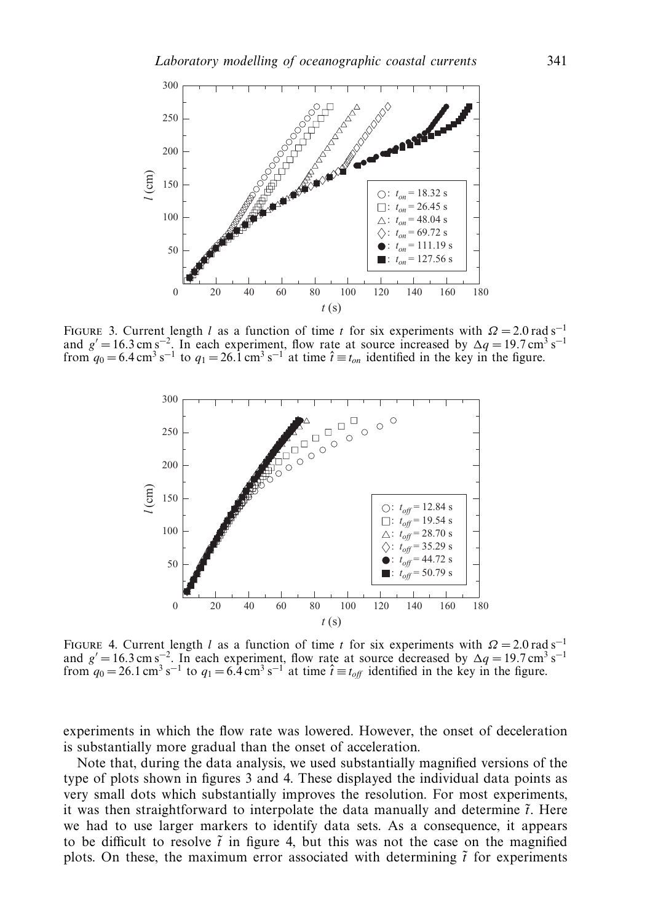

FIGURE 3. Current length *l* as a function of time *t* for six experiments with  $\Omega = 2.0$  rad s<sup>-1</sup> and  $g' = 16.3 \text{ cm s}^{-2}$ . In each experiment, flow rate at source increased by  $\Delta q = 19.7 \text{ cm}^3 \text{ s}^{-1}$ from  $q_0 = 6.4 \text{ cm}^3 \text{ s}^{-1}$  to  $q_1 = 26.1 \text{ cm}^3 \text{ s}^{-1}$  at time  $\hat{t} \equiv t_{on}$  identified in the key in the figure.



FIGURE 4. Current length *l* as a function of time *t* for six experiments with  $\Omega = 2.0 \text{ rad s}^{-1}$ and  $g' = 16.3 \text{ cm s}^{-2}$ . In each experiment, flow rate at source decreased by  $\Delta q = 19.7 \text{ cm}^3 \text{ s}^{-1}$ from  $q_0 = 26.1 \text{ cm}^3 \text{ s}^{-1}$  to  $q_1 = 6.4 \text{ cm}^3 \text{ s}^{-1}$  at time  $\hat{t} \equiv t_{off}$  identified in the key in the figure.

experiments in which the flow rate was lowered. However, the onset of deceleration is substantially more gradual than the onset of acceleration.

Note that, during the data analysis, we used substantially magnified versions of the type of plots shown in figures 3 and 4. These displayed the individual data points as very small dots which substantially improves the resolution. For most experiments, it was then straightforward to interpolate the data manually and determine ˜*t*. Here we had to use larger markers to identify data sets. As a consequence, it appears to be difficult to resolve  $\tilde{t}$  in figure 4, but this was not the case on the magnified plots. On these, the maximum error associated with determining  $\tilde{t}$  for experiments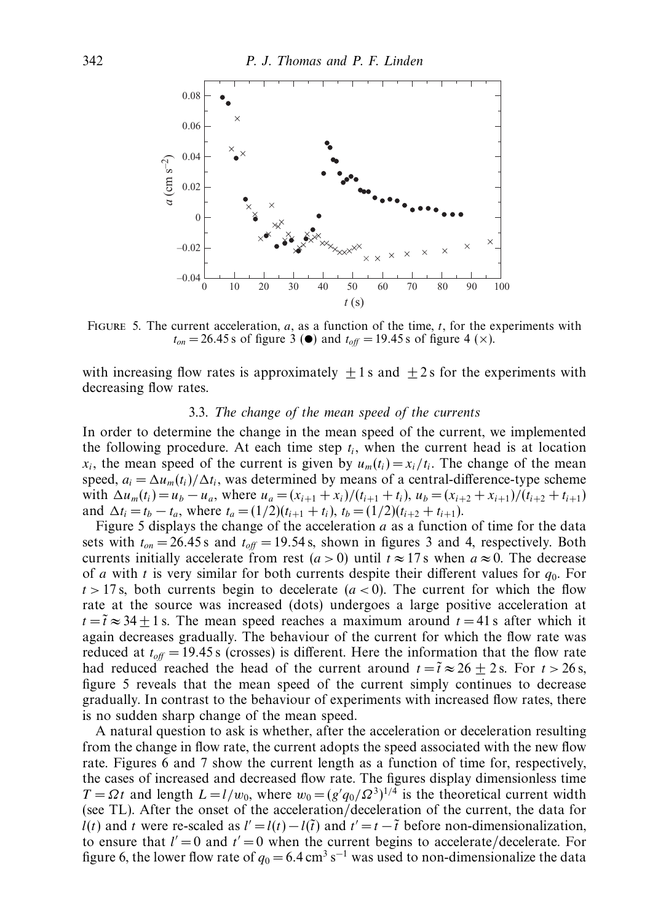

FIGURE 5. The current acceleration,  $a$ , as a function of the time,  $t$ , for the experiments with  $t_{on} = 26.45$  s of figure 3 ( $\bullet$ ) and  $t_{off} = 19.45$  s of figure 4 ( $\times$ ).

with increasing flow rates is approximately  $+1s$  and  $+2s$  for the experiments with decreasing flow rates.

#### 3.3. The change of the mean speed of the currents

In order to determine the change in the mean speed of the current, we implemented the following procedure. At each time step  $t_i$ , when the current head is at location  $x_i$ , the mean speed of the current is given by  $u_m(t_i) = x_i/t_i$ . The change of the mean speed,  $a_i = \Delta u_m(t_i)/\Delta t_i$ , was determined by means of a central-difference-type scheme with  $\Delta u_m(t_i) = u_b - u_a$ , where  $u_a = (x_{i+1} + x_i)/(t_{i+1} + t_i)$ ,  $u_b = (x_{i+2} + x_{i+1})/(t_{i+2} + t_{i+1})$ and  $\Delta t_i = t_b - t_a$ , where  $t_a = (1/2)(t_{i+1} + t_i)$ ,  $t_b = (1/2)(t_{i+2} + t_{i+1})$ .

Figure 5 displays the change of the acceleration *a* as a function of time for the data sets with  $t_{on} = 26.45$  s and  $t_{off} = 19.54$  s, shown in figures 3 and 4, respectively. Both currents initially accelerate from rest  $(a > 0)$  until  $t \approx 17$  s when  $a \approx 0$ . The decrease of *a* with *t* is very similar for both currents despite their different values for  $q_0$ . For  $t > 17$  s, both currents begin to decelerate  $(a < 0)$ . The current for which the flow rate at the source was increased (dots) undergoes a large positive acceleration at  $t = \tilde{t} \approx 34 \pm 1$  s. The mean speed reaches a maximum around  $t = 41$  s after which it again decreases gradually. The behaviour of the current for which the flow rate was reduced at  $t_{off} = 19.45$  s (crosses) is different. Here the information that the flow rate had reduced reached the head of the current around  $t = \tilde{t} \approx 26 \pm 2$  s. For  $t > 26$  s, figure 5 reveals that the mean speed of the current simply continues to decrease gradually. In contrast to the behaviour of experiments with increased flow rates, there is no sudden sharp change of the mean speed.

A natural question to ask is whether, after the acceleration or deceleration resulting from the change in flow rate, the current adopts the speed associated with the new flow rate. Figures 6 and 7 show the current length as a function of time for, respectively, the cases of increased and decreased flow rate. The figures display dimensionless time  $T = \Omega t$  and length  $L = l/w_0$ , where  $w_0 = (g'q_0/\Omega^3)^{1/4}$  is the theoretical current width (see TL). After the onset of the acceleration/deceleration of the current, the data for *l*(*t*) and *t* were re-scaled as  $l' = l(t) - l(\tilde{t})$  and  $t' = t - \tilde{t}$  before non-dimensionalization, to ensure that  $l' = 0$  and  $t' = 0$  when the current begins to accelerate/decelerate. For figure 6, the lower flow rate of  $q_0 = 6.4 \text{ cm}^3 \text{ s}^{-1}$  was used to non-dimensionalize the data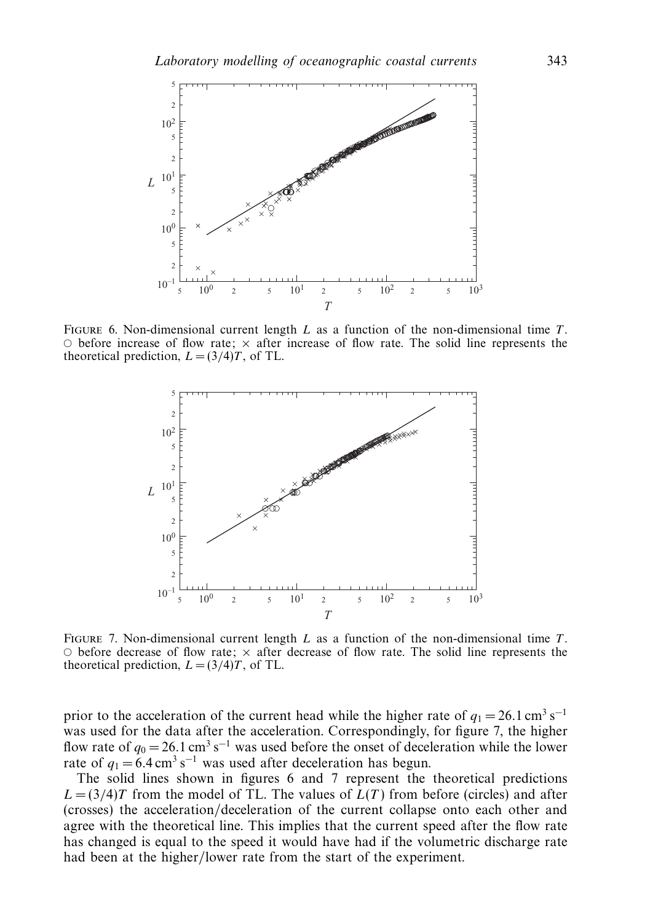

Figure 6. Non-dimensional current length *L* as a function of the non-dimensional time *T* .  $\circ$  before increase of flow rate;  $\times$  after increase of flow rate. The solid line represents the theoretical prediction,  $L = (3/4)T$ , of TL.



Figure 7. Non-dimensional current length *L* as a function of the non-dimensional time *T* .  $\circ$  before decrease of flow rate;  $\times$  after decrease of flow rate. The solid line represents the theoretical prediction,  $L = (3/4)T$ , of TL.

prior to the acceleration of the current head while the higher rate of  $q_1 = 26.1 \text{ cm}^3 \text{ s}^{-1}$ was used for the data after the acceleration. Correspondingly, for figure 7, the higher flow rate of  $q_0 = 26.1 \text{ cm}^3 \text{ s}^{-1}$  was used before the onset of deceleration while the lower rate of  $q_1 = 6.4 \text{ cm}^3 \text{ s}^{-1}$  was used after deceleration has begun.

The solid lines shown in figures 6 and 7 represent the theoretical predictions  $L = (3/4)T$  from the model of TL. The values of  $L(T)$  from before (circles) and after (crosses) the acceleration/deceleration of the current collapse onto each other and agree with the theoretical line. This implies that the current speed after the flow rate has changed is equal to the speed it would have had if the volumetric discharge rate had been at the higher/lower rate from the start of the experiment.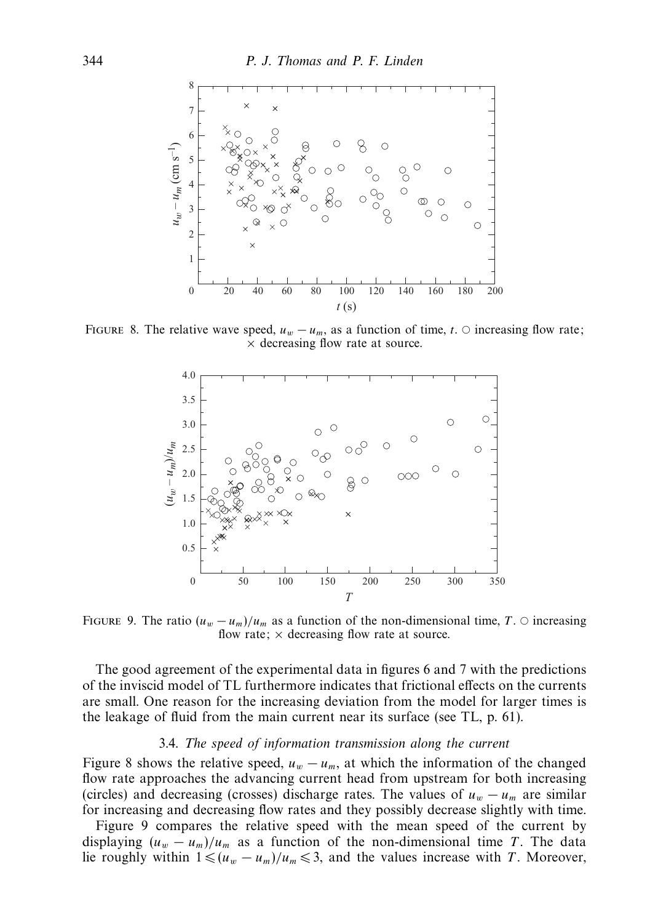

FIGURE 8. The relative wave speed,  $u_w - u_m$ , as a function of time, *t*.  $\circ$  increasing flow rate;  $\times$  decreasing flow rate at source.



FIGURE 9. The ratio  $(u_w - u_m)/u_m$  as a function of the non-dimensional time, *T*.  $\circ$  increasing flow rate;  $\times$  decreasing flow rate at source.

The good agreement of the experimental data in figures 6 and 7 with the predictions of the inviscid model of TL furthermore indicates that frictional effects on the currents are small. One reason for the increasing deviation from the model for larger times is the leakage of fluid from the main current near its surface (see TL, p. 61).

#### 3.4. The speed of information transmission along the current

Figure 8 shows the relative speed,  $u_w - u_m$ , at which the information of the changed flow rate approaches the advancing current head from upstream for both increasing (circles) and decreasing (crosses) discharge rates. The values of  $u_w - u_m$  are similar for increasing and decreasing flow rates and they possibly decrease slightly with time.

Figure 9 compares the relative speed with the mean speed of the current by displaying  $(u_w - u_m)/u_m$  as a function of the non-dimensional time *T*. The data lie roughly within  $1 \leq (u_w - u_m)/u_m \leq 3$ , and the values increase with *T*. Moreover,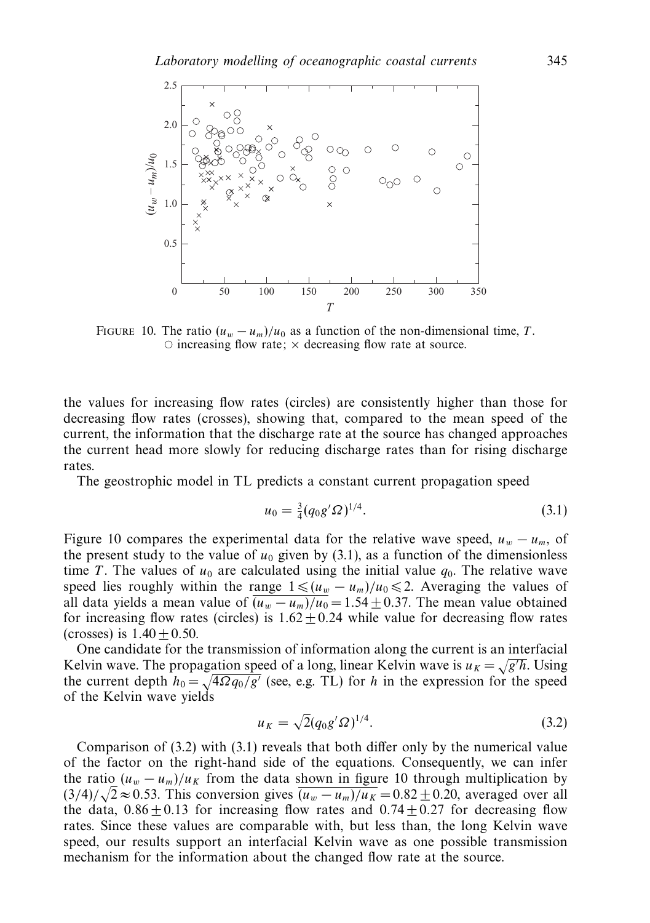

FIGURE 10. The ratio  $(u_w - u_m)/u_0$  as a function of the non-dimensional time, *T*.  $\circ$  increasing flow rate;  $\times$  decreasing flow rate at source.

the values for increasing flow rates (circles) are consistently higher than those for decreasing flow rates (crosses), showing that, compared to the mean speed of the current, the information that the discharge rate at the source has changed approaches the current head more slowly for reducing discharge rates than for rising discharge rates.

The geostrophic model in TL predicts a constant current propagation speed

$$
u_0 = \frac{3}{4} (q_0 g' \Omega)^{1/4}.
$$
 (3.1)

Figure 10 compares the experimental data for the relative wave speed, *uw* − *um*, of the present study to the value of  $u_0$  given by (3.1), as a function of the dimensionless time *T*. The values of  $u_0$  are calculated using the initial value  $q_0$ . The relative wave speed lies roughly within the <u>range  $1 \leq (u_w - u_m)/u_0 \leq 2$ </u>. Averaging the values of all data yields a mean value of  $(u_w - u_m)/u_0 = 1.54 \pm 0.37$ . The mean value obtained for increasing flow rates (circles) is  $1.62 \pm 0.24$  while value for decreasing flow rates (crosses) is  $1.40 + 0.50$ .

One candidate for the transmission of information along the current is an interfacial Kelvin wave. The propagation speed of a long, linear Kelvin wave is  $u_K = \sqrt{g'h}$ . Using the current depth  $h_0 = \sqrt{4\Omega q_0/g'}$  (see, e.g. TL) for *h* in the expression for the speed of the Kelvin wave yields

$$
u_K = \sqrt{2}(q_0 g' \Omega)^{1/4}.
$$
 (3.2)

Comparison of (3.2) with (3.1) reveals that both differ only by the numerical value of the factor on the right-hand side of the equations. Consequently, we can infer the ratio  $(u_w - u_m)/u_K$  from the data shown in figure 10 through multiplication by (3/4)/ $\sqrt{2} \approx 0.53$ . This conversion gives  $\sqrt{(u_w - u_m)/u_K} = 0.82 \pm 0.20$ , averaged over all the data,  $0.86 \pm 0.13$  for increasing flow rates and  $0.74 \pm 0.27$  for decreasing flow rates. Since these values are comparable with, but less than, the long Kelvin wave speed, our results support an interfacial Kelvin wave as one possible transmission mechanism for the information about the changed flow rate at the source.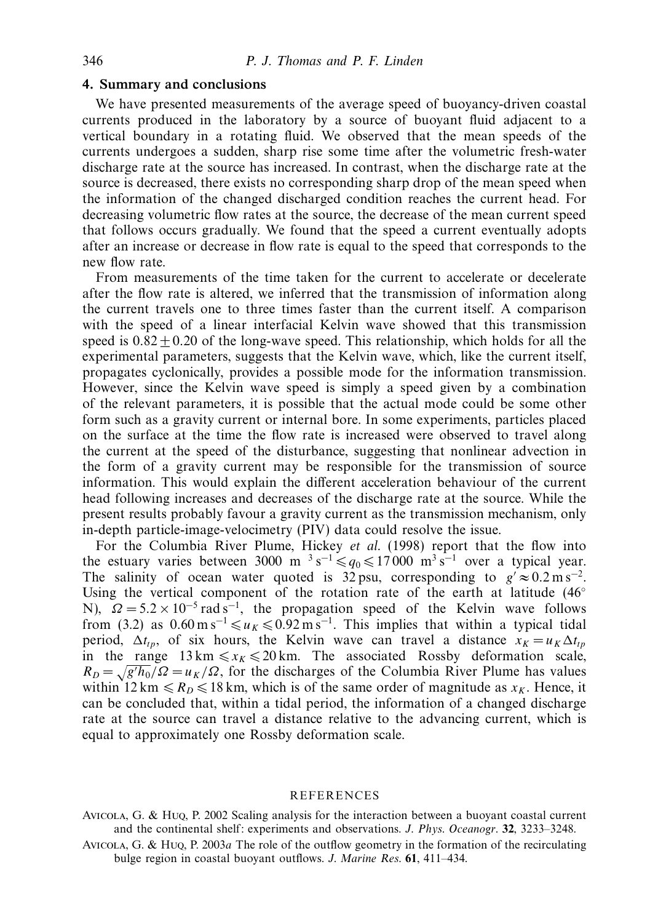### *4. Summary and conclusions*

We have presented measurements of the average speed of buoyancy-driven coastal currents produced in the laboratory by a source of buoyant fluid adjacent to a vertical boundary in a rotating fluid. We observed that the mean speeds of the currents undergoes a sudden, sharp rise some time after the volumetric fresh-water discharge rate at the source has increased. In contrast, when the discharge rate at the source is decreased, there exists no corresponding sharp drop of the mean speed when the information of the changed discharged condition reaches the current head. For decreasing volumetric flow rates at the source, the decrease of the mean current speed that follows occurs gradually. We found that the speed a current eventually adopts after an increase or decrease in flow rate is equal to the speed that corresponds to the new flow rate.

From measurements of the time taken for the current to accelerate or decelerate after the flow rate is altered, we inferred that the transmission of information along the current travels one to three times faster than the current itself. A comparison with the speed of a linear interfacial Kelvin wave showed that this transmission speed is  $0.82 \pm 0.20$  of the long-wave speed. This relationship, which holds for all the experimental parameters, suggests that the Kelvin wave, which, like the current itself, propagates cyclonically, provides a possible mode for the information transmission. However, since the Kelvin wave speed is simply a speed given by a combination of the relevant parameters, it is possible that the actual mode could be some other form such as a gravity current or internal bore. In some experiments, particles placed on the surface at the time the flow rate is increased were observed to travel along the current at the speed of the disturbance, suggesting that nonlinear advection in the form of a gravity current may be responsible for the transmission of source information. This would explain the different acceleration behaviour of the current head following increases and decreases of the discharge rate at the source. While the present results probably favour a gravity current as the transmission mechanism, only in-depth particle-image-velocimetry (PIV) data could resolve the issue.

For the Columbia River Plume, Hickey *et al.* (1998) report that the flow into the estuary varies between 3000 m<sup>3</sup> s<sup>-1</sup>  $\leq q_0 \leq 17000$  m<sup>3</sup> s<sup>-1</sup> over a typical year. The salinity of ocean water quoted is  $32 \text{ psu}$ , corresponding to  $g' \approx 0.2 \text{ m s}^{-2}$ . Using the vertical component of the rotation rate of the earth at latitude (46° N),  $\Omega = 5.2 \times 10^{-5}$  rad s<sup>-1</sup>, the propagation speed of the Kelvin wave follows from (3.2) as  $0.60 \text{ m s}^{-1} \le u_K \le 0.92 \text{ m s}^{-1}$ . This implies that within a typical tidal period,  $\Delta t_{tp}$ , of six hours, the Kelvin wave can travel a distance  $x_K = u_K \Delta t_{tp}$ in the range  $13 \text{ km} \leq x_K \leq 20 \text{ km}$ . The associated Rossby deformation scale,  $R_D = \sqrt{g'h_0}/\Omega = u_K/\Omega$ , for the discharges of the Columbia River Plume has values within 12 km  $\le R_D \le 18$  km, which is of the same order of magnitude as  $x_K$ . Hence, it can be concluded that, within a tidal period, the information of a changed discharge rate at the source can travel a distance relative to the advancing current, which is equal to approximately one Rossby deformation scale.

#### **REFERENCES**

- Avicola, G. & Huq, P. 2002 Scaling analysis for the interaction between a buoyant coastal current and the continental shelf: experiments and observations. J. Phys. Oceanogr. **32**, 3233–3248.
- Avicola, G. & Huq, P. 2003a The role of the outflow geometry in the formation of the recirculating bulge region in coastal buoyant outflows. J. Marine Res. **61**, 411–434.